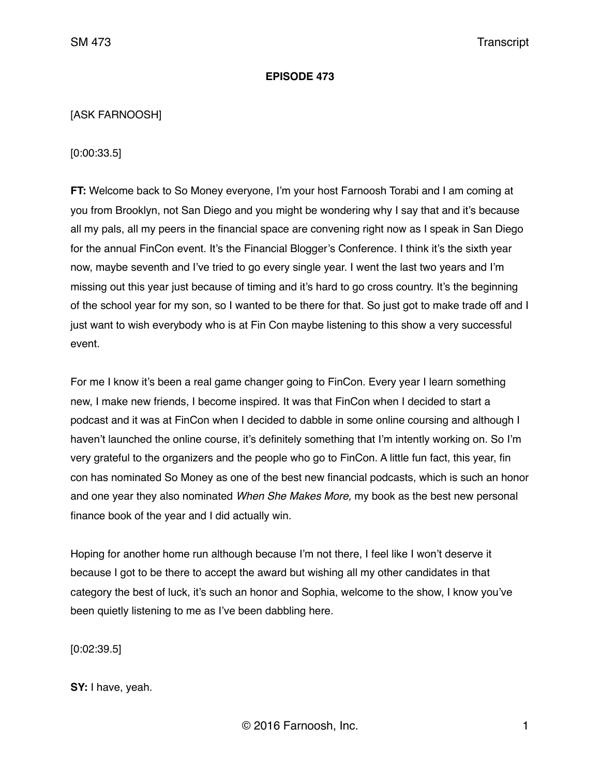# **EPISODE 473**

# [ASK FARNOOSH]

[0:00:33.5]

**FT:** Welcome back to So Money everyone, I'm your host Farnoosh Torabi and I am coming at you from Brooklyn, not San Diego and you might be wondering why I say that and it's because all my pals, all my peers in the financial space are convening right now as I speak in San Diego for the annual FinCon event. It's the Financial Blogger's Conference. I think it's the sixth year now, maybe seventh and I've tried to go every single year. I went the last two years and I'm missing out this year just because of timing and it's hard to go cross country. It's the beginning of the school year for my son, so I wanted to be there for that. So just got to make trade off and I just want to wish everybody who is at Fin Con maybe listening to this show a very successful event.

For me I know it's been a real game changer going to FinCon. Every year I learn something new, I make new friends, I become inspired. It was that FinCon when I decided to start a podcast and it was at FinCon when I decided to dabble in some online coursing and although I haven't launched the online course, it's definitely something that I'm intently working on. So I'm very grateful to the organizers and the people who go to FinCon. A little fun fact, this year, fin con has nominated So Money as one of the best new financial podcasts, which is such an honor and one year they also nominated *When She Makes More,* my book as the best new personal finance book of the year and I did actually win.

Hoping for another home run although because I'm not there, I feel like I won't deserve it because I got to be there to accept the award but wishing all my other candidates in that category the best of luck, it's such an honor and Sophia, welcome to the show, I know you've been quietly listening to me as I've been dabbling here.

[0:02:39.5]

**SY:** I have, yeah.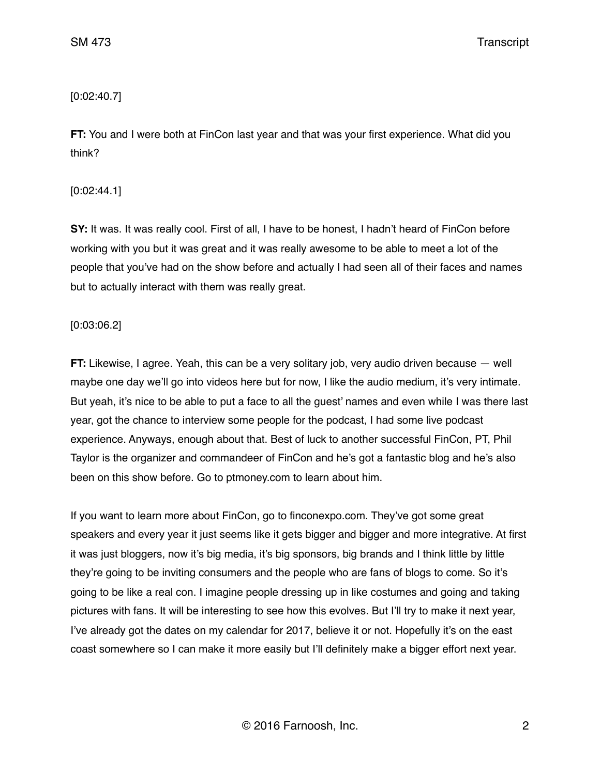# [0:02:40.7]

**FT:** You and I were both at FinCon last year and that was your first experience. What did you think?

[0:02:44.1]

**SY:** It was. It was really cool. First of all, I have to be honest, I hadn't heard of FinCon before working with you but it was great and it was really awesome to be able to meet a lot of the people that you've had on the show before and actually I had seen all of their faces and names but to actually interact with them was really great.

# [0:03:06.2]

**FT:** Likewise, I agree. Yeah, this can be a very solitary job, very audio driven because — well maybe one day we'll go into videos here but for now, I like the audio medium, it's very intimate. But yeah, it's nice to be able to put a face to all the guest' names and even while I was there last year, got the chance to interview some people for the podcast, I had some live podcast experience. Anyways, enough about that. Best of luck to another successful FinCon, PT, Phil Taylor is the organizer and commandeer of FinCon and he's got a fantastic blog and he's also been on this show before. Go to ptmoney.com to learn about him.

If you want to learn more about FinCon, go to finconexpo.com. They've got some great speakers and every year it just seems like it gets bigger and bigger and more integrative. At first it was just bloggers, now it's big media, it's big sponsors, big brands and I think little by little they're going to be inviting consumers and the people who are fans of blogs to come. So it's going to be like a real con. I imagine people dressing up in like costumes and going and taking pictures with fans. It will be interesting to see how this evolves. But I'll try to make it next year, I've already got the dates on my calendar for 2017, believe it or not. Hopefully it's on the east coast somewhere so I can make it more easily but I'll definitely make a bigger effort next year.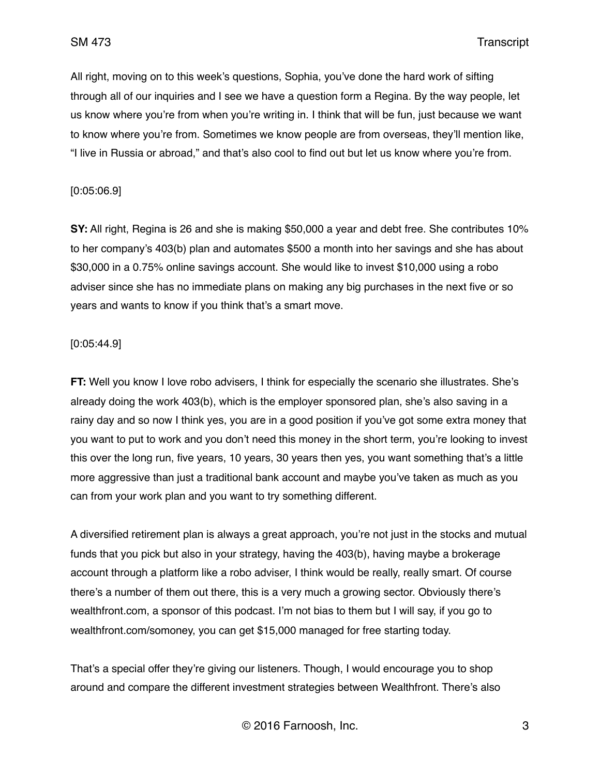All right, moving on to this week's questions, Sophia, you've done the hard work of sifting through all of our inquiries and I see we have a question form a Regina. By the way people, let us know where you're from when you're writing in. I think that will be fun, just because we want to know where you're from. Sometimes we know people are from overseas, they'll mention like, "I live in Russia or abroad," and that's also cool to find out but let us know where you're from.

### [0:05:06.9]

**SY:** All right, Regina is 26 and she is making \$50,000 a year and debt free. She contributes 10% to her company's 403(b) plan and automates \$500 a month into her savings and she has about \$30,000 in a 0.75% online savings account. She would like to invest \$10,000 using a robo adviser since she has no immediate plans on making any big purchases in the next five or so years and wants to know if you think that's a smart move.

### [0:05:44.9]

**FT:** Well you know I love robo advisers, I think for especially the scenario she illustrates. She's already doing the work 403(b), which is the employer sponsored plan, she's also saving in a rainy day and so now I think yes, you are in a good position if you've got some extra money that you want to put to work and you don't need this money in the short term, you're looking to invest this over the long run, five years, 10 years, 30 years then yes, you want something that's a little more aggressive than just a traditional bank account and maybe you've taken as much as you can from your work plan and you want to try something different.

A diversified retirement plan is always a great approach, you're not just in the stocks and mutual funds that you pick but also in your strategy, having the 403(b), having maybe a brokerage account through a platform like a robo adviser, I think would be really, really smart. Of course there's a number of them out there, this is a very much a growing sector. Obviously there's wealthfront.com, a sponsor of this podcast. I'm not bias to them but I will say, if you go to wealthfront.com/somoney, you can get \$15,000 managed for free starting today.

That's a special offer they're giving our listeners. Though, I would encourage you to shop around and compare the different investment strategies between Wealthfront. There's also

© 2016 Farnoosh, Inc. 3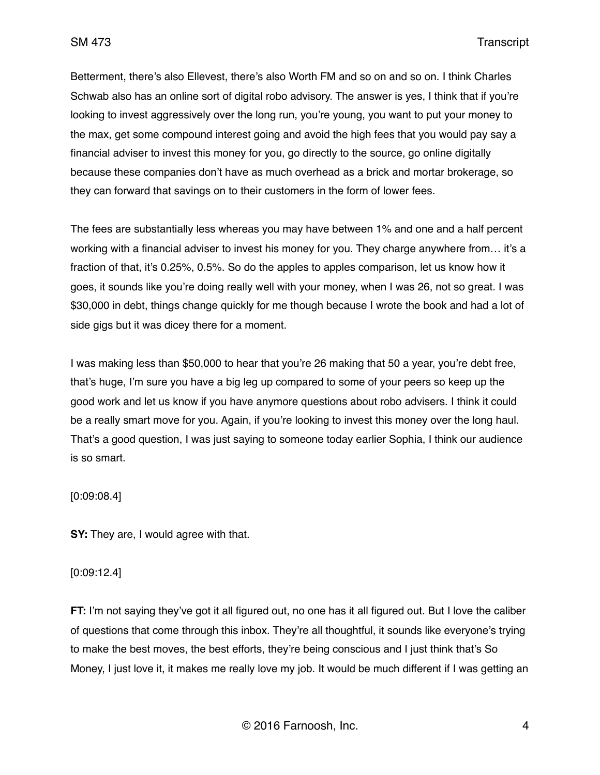Betterment, there's also Ellevest, there's also Worth FM and so on and so on. I think Charles Schwab also has an online sort of digital robo advisory. The answer is yes, I think that if you're looking to invest aggressively over the long run, you're young, you want to put your money to the max, get some compound interest going and avoid the high fees that you would pay say a financial adviser to invest this money for you, go directly to the source, go online digitally because these companies don't have as much overhead as a brick and mortar brokerage, so they can forward that savings on to their customers in the form of lower fees.

The fees are substantially less whereas you may have between 1% and one and a half percent working with a financial adviser to invest his money for you. They charge anywhere from… it's a fraction of that, it's 0.25%, 0.5%. So do the apples to apples comparison, let us know how it goes, it sounds like you're doing really well with your money, when I was 26, not so great. I was \$30,000 in debt, things change quickly for me though because I wrote the book and had a lot of side gigs but it was dicey there for a moment.

I was making less than \$50,000 to hear that you're 26 making that 50 a year, you're debt free, that's huge, I'm sure you have a big leg up compared to some of your peers so keep up the good work and let us know if you have anymore questions about robo advisers. I think it could be a really smart move for you. Again, if you're looking to invest this money over the long haul. That's a good question, I was just saying to someone today earlier Sophia, I think our audience is so smart.

[0:09:08.4]

**SY:** They are, I would agree with that.

#### [0:09:12.4]

**FT:** I'm not saying they've got it all figured out, no one has it all figured out. But I love the caliber of questions that come through this inbox. They're all thoughtful, it sounds like everyone's trying to make the best moves, the best efforts, they're being conscious and I just think that's So Money, I just love it, it makes me really love my job. It would be much different if I was getting an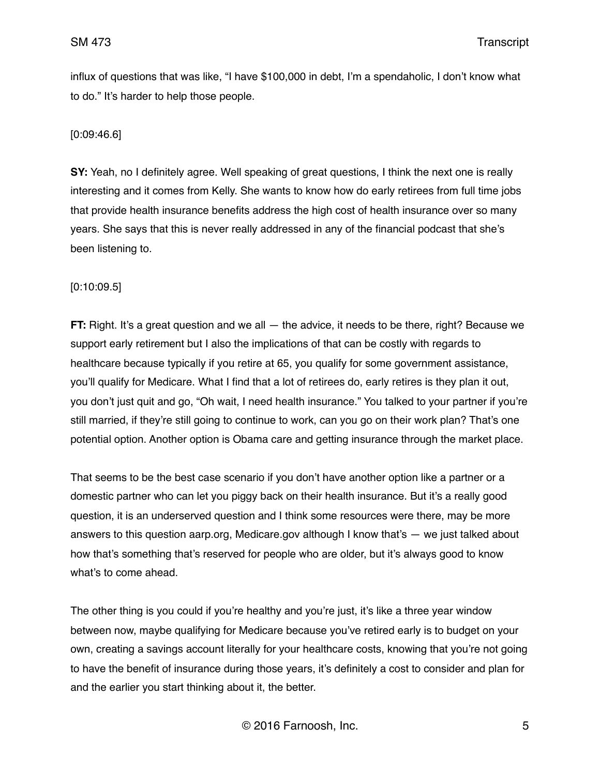influx of questions that was like, "I have \$100,000 in debt, I'm a spendaholic, I don't know what to do." It's harder to help those people.

# [0:09:46.6]

**SY:** Yeah, no I definitely agree. Well speaking of great questions, I think the next one is really interesting and it comes from Kelly. She wants to know how do early retirees from full time jobs that provide health insurance benefits address the high cost of health insurance over so many years. She says that this is never really addressed in any of the financial podcast that she's been listening to.

# [0:10:09.5]

**FT:** Right. It's a great question and we all — the advice, it needs to be there, right? Because we support early retirement but I also the implications of that can be costly with regards to healthcare because typically if you retire at 65, you qualify for some government assistance, you'll qualify for Medicare. What I find that a lot of retirees do, early retires is they plan it out, you don't just quit and go, "Oh wait, I need health insurance." You talked to your partner if you're still married, if they're still going to continue to work, can you go on their work plan? That's one potential option. Another option is Obama care and getting insurance through the market place.

That seems to be the best case scenario if you don't have another option like a partner or a domestic partner who can let you piggy back on their health insurance. But it's a really good question, it is an underserved question and I think some resources were there, may be more answers to this question aarp.org, Medicare.gov although I know that's — we just talked about how that's something that's reserved for people who are older, but it's always good to know what's to come ahead.

The other thing is you could if you're healthy and you're just, it's like a three year window between now, maybe qualifying for Medicare because you've retired early is to budget on your own, creating a savings account literally for your healthcare costs, knowing that you're not going to have the benefit of insurance during those years, it's definitely a cost to consider and plan for and the earlier you start thinking about it, the better.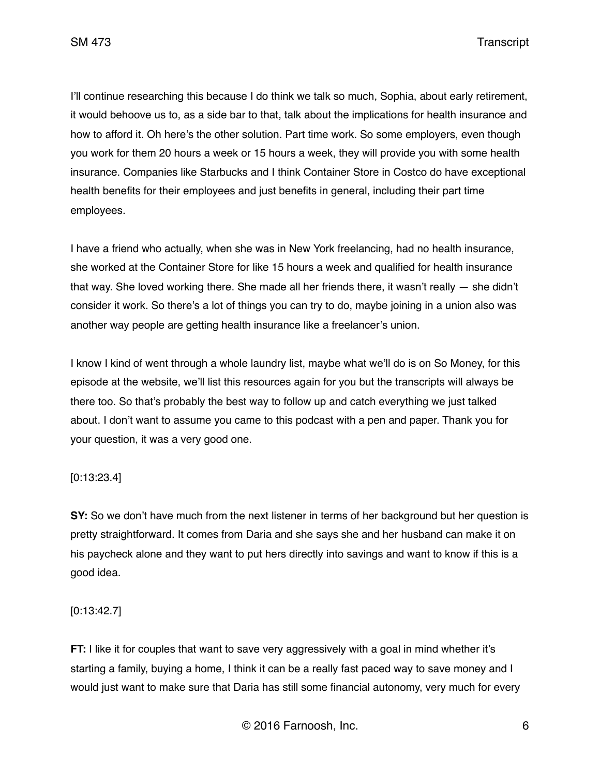SM 473 Transcript

I'll continue researching this because I do think we talk so much, Sophia, about early retirement, it would behoove us to, as a side bar to that, talk about the implications for health insurance and how to afford it. Oh here's the other solution. Part time work. So some employers, even though you work for them 20 hours a week or 15 hours a week, they will provide you with some health insurance. Companies like Starbucks and I think Container Store in Costco do have exceptional health benefits for their employees and just benefits in general, including their part time employees.

I have a friend who actually, when she was in New York freelancing, had no health insurance, she worked at the Container Store for like 15 hours a week and qualified for health insurance that way. She loved working there. She made all her friends there, it wasn't really — she didn't consider it work. So there's a lot of things you can try to do, maybe joining in a union also was another way people are getting health insurance like a freelancer's union.

I know I kind of went through a whole laundry list, maybe what we'll do is on So Money, for this episode at the website, we'll list this resources again for you but the transcripts will always be there too. So that's probably the best way to follow up and catch everything we just talked about. I don't want to assume you came to this podcast with a pen and paper. Thank you for your question, it was a very good one.

# [0:13:23.4]

**SY:** So we don't have much from the next listener in terms of her background but her question is pretty straightforward. It comes from Daria and she says she and her husband can make it on his paycheck alone and they want to put hers directly into savings and want to know if this is a good idea.

# [0:13:42.7]

**FT:** I like it for couples that want to save very aggressively with a goal in mind whether it's starting a family, buying a home, I think it can be a really fast paced way to save money and I would just want to make sure that Daria has still some financial autonomy, very much for every

© 2016 Farnoosh, Inc. 6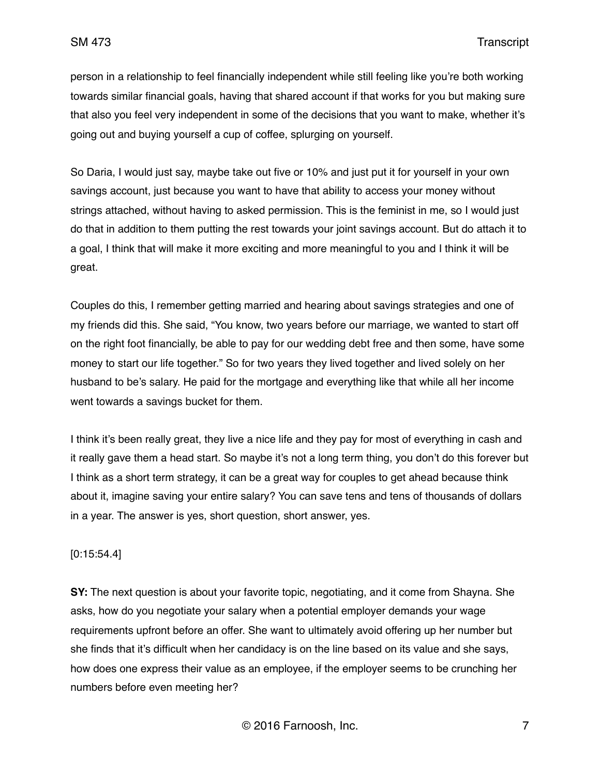person in a relationship to feel financially independent while still feeling like you're both working towards similar financial goals, having that shared account if that works for you but making sure that also you feel very independent in some of the decisions that you want to make, whether it's going out and buying yourself a cup of coffee, splurging on yourself.

So Daria, I would just say, maybe take out five or 10% and just put it for yourself in your own savings account, just because you want to have that ability to access your money without strings attached, without having to asked permission. This is the feminist in me, so I would just do that in addition to them putting the rest towards your joint savings account. But do attach it to a goal, I think that will make it more exciting and more meaningful to you and I think it will be great.

Couples do this, I remember getting married and hearing about savings strategies and one of my friends did this. She said, "You know, two years before our marriage, we wanted to start off on the right foot financially, be able to pay for our wedding debt free and then some, have some money to start our life together." So for two years they lived together and lived solely on her husband to be's salary. He paid for the mortgage and everything like that while all her income went towards a savings bucket for them.

I think it's been really great, they live a nice life and they pay for most of everything in cash and it really gave them a head start. So maybe it's not a long term thing, you don't do this forever but I think as a short term strategy, it can be a great way for couples to get ahead because think about it, imagine saving your entire salary? You can save tens and tens of thousands of dollars in a year. The answer is yes, short question, short answer, yes.

# [0:15:54.4]

**SY:** The next question is about your favorite topic, negotiating, and it come from Shayna. She asks, how do you negotiate your salary when a potential employer demands your wage requirements upfront before an offer. She want to ultimately avoid offering up her number but she finds that it's difficult when her candidacy is on the line based on its value and she says, how does one express their value as an employee, if the employer seems to be crunching her numbers before even meeting her?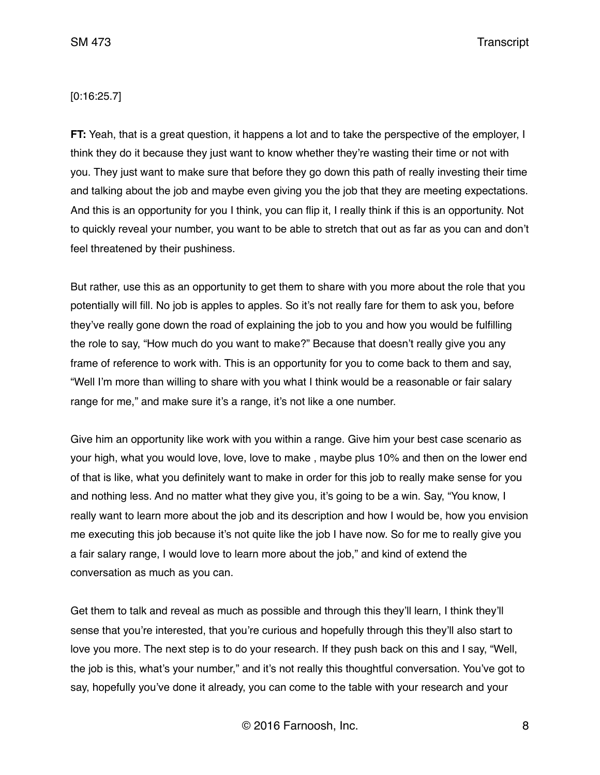SM 473 Transcript

# [0:16:25.7]

**FT:** Yeah, that is a great question, it happens a lot and to take the perspective of the employer, I think they do it because they just want to know whether they're wasting their time or not with you. They just want to make sure that before they go down this path of really investing their time and talking about the job and maybe even giving you the job that they are meeting expectations. And this is an opportunity for you I think, you can flip it, I really think if this is an opportunity. Not to quickly reveal your number, you want to be able to stretch that out as far as you can and don't feel threatened by their pushiness.

But rather, use this as an opportunity to get them to share with you more about the role that you potentially will fill. No job is apples to apples. So it's not really fare for them to ask you, before they've really gone down the road of explaining the job to you and how you would be fulfilling the role to say, "How much do you want to make?" Because that doesn't really give you any frame of reference to work with. This is an opportunity for you to come back to them and say, "Well I'm more than willing to share with you what I think would be a reasonable or fair salary range for me," and make sure it's a range, it's not like a one number.

Give him an opportunity like work with you within a range. Give him your best case scenario as your high, what you would love, love, love to make , maybe plus 10% and then on the lower end of that is like, what you definitely want to make in order for this job to really make sense for you and nothing less. And no matter what they give you, it's going to be a win. Say, "You know, I really want to learn more about the job and its description and how I would be, how you envision me executing this job because it's not quite like the job I have now. So for me to really give you a fair salary range, I would love to learn more about the job," and kind of extend the conversation as much as you can.

Get them to talk and reveal as much as possible and through this they'll learn, I think they'll sense that you're interested, that you're curious and hopefully through this they'll also start to love you more. The next step is to do your research. If they push back on this and I say, "Well, the job is this, what's your number," and it's not really this thoughtful conversation. You've got to say, hopefully you've done it already, you can come to the table with your research and your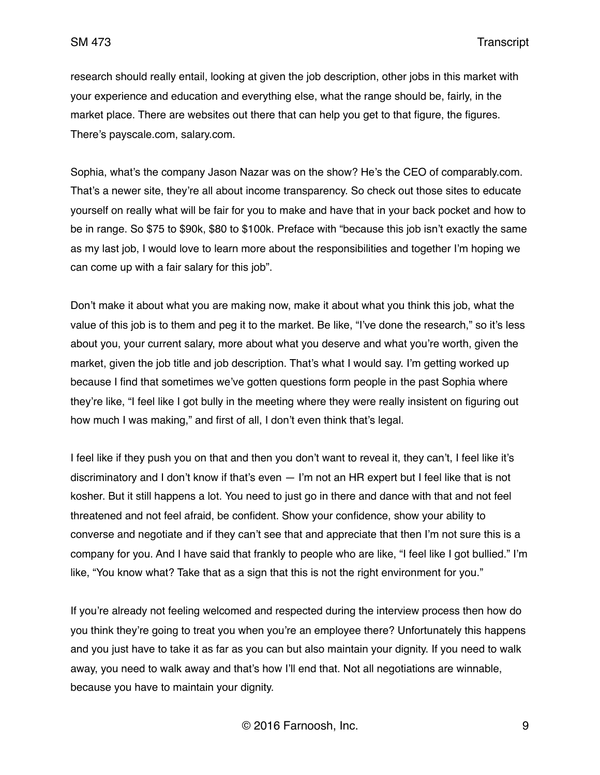research should really entail, looking at given the job description, other jobs in this market with your experience and education and everything else, what the range should be, fairly, in the market place. There are websites out there that can help you get to that figure, the figures. There's payscale.com, salary.com.

Sophia, what's the company Jason Nazar was on the show? He's the CEO of comparably.com. That's a newer site, they're all about income transparency. So check out those sites to educate yourself on really what will be fair for you to make and have that in your back pocket and how to be in range. So \$75 to \$90k, \$80 to \$100k. Preface with "because this job isn't exactly the same as my last job, I would love to learn more about the responsibilities and together I'm hoping we can come up with a fair salary for this job".

Don't make it about what you are making now, make it about what you think this job, what the value of this job is to them and peg it to the market. Be like, "I've done the research," so it's less about you, your current salary, more about what you deserve and what you're worth, given the market, given the job title and job description. That's what I would say. I'm getting worked up because I find that sometimes we've gotten questions form people in the past Sophia where they're like, "I feel like I got bully in the meeting where they were really insistent on figuring out how much I was making," and first of all, I don't even think that's legal.

I feel like if they push you on that and then you don't want to reveal it, they can't, I feel like it's discriminatory and I don't know if that's even — I'm not an HR expert but I feel like that is not kosher. But it still happens a lot. You need to just go in there and dance with that and not feel threatened and not feel afraid, be confident. Show your confidence, show your ability to converse and negotiate and if they can't see that and appreciate that then I'm not sure this is a company for you. And I have said that frankly to people who are like, "I feel like I got bullied." I'm like, "You know what? Take that as a sign that this is not the right environment for you."

If you're already not feeling welcomed and respected during the interview process then how do you think they're going to treat you when you're an employee there? Unfortunately this happens and you just have to take it as far as you can but also maintain your dignity. If you need to walk away, you need to walk away and that's how I'll end that. Not all negotiations are winnable, because you have to maintain your dignity.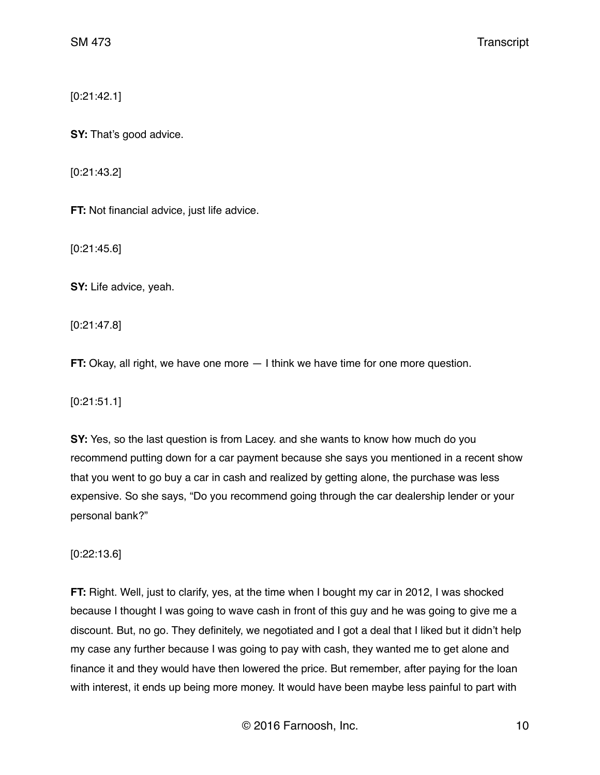[0:21:42.1]

**SY:** That's good advice.

[0:21:43.2]

**FT:** Not financial advice, just life advice.

[0:21:45.6]

**SY:** Life advice, yeah.

[0:21:47.8]

**FT:** Okay, all right, we have one more  $-1$  think we have time for one more question.

[0:21:51.1]

**SY:** Yes, so the last question is from Lacey. and she wants to know how much do you recommend putting down for a car payment because she says you mentioned in a recent show that you went to go buy a car in cash and realized by getting alone, the purchase was less expensive. So she says, "Do you recommend going through the car dealership lender or your personal bank?"

[0:22:13.6]

**FT:** Right. Well, just to clarify, yes, at the time when I bought my car in 2012, I was shocked because I thought I was going to wave cash in front of this guy and he was going to give me a discount. But, no go. They definitely, we negotiated and I got a deal that I liked but it didn't help my case any further because I was going to pay with cash, they wanted me to get alone and finance it and they would have then lowered the price. But remember, after paying for the loan with interest, it ends up being more money. It would have been maybe less painful to part with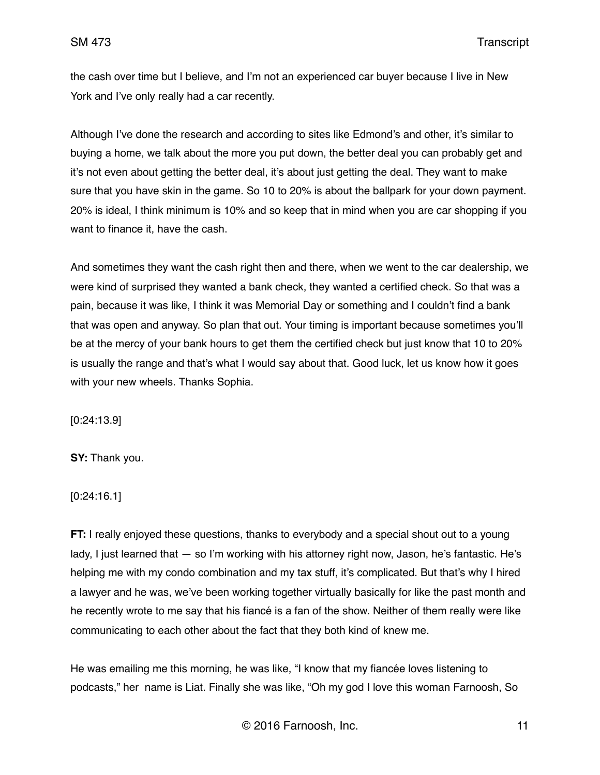the cash over time but I believe, and I'm not an experienced car buyer because I live in New York and I've only really had a car recently.

Although I've done the research and according to sites like Edmond's and other, it's similar to buying a home, we talk about the more you put down, the better deal you can probably get and it's not even about getting the better deal, it's about just getting the deal. They want to make sure that you have skin in the game. So 10 to 20% is about the ballpark for your down payment. 20% is ideal, I think minimum is 10% and so keep that in mind when you are car shopping if you want to finance it, have the cash.

And sometimes they want the cash right then and there, when we went to the car dealership, we were kind of surprised they wanted a bank check, they wanted a certified check. So that was a pain, because it was like, I think it was Memorial Day or something and I couldn't find a bank that was open and anyway. So plan that out. Your timing is important because sometimes you'll be at the mercy of your bank hours to get them the certified check but just know that 10 to 20% is usually the range and that's what I would say about that. Good luck, let us know how it goes with your new wheels. Thanks Sophia.

[0:24:13.9]

**SY:** Thank you.

[0:24:16.1]

**FT:** I really enjoyed these questions, thanks to everybody and a special shout out to a young lady, I just learned that — so I'm working with his attorney right now, Jason, he's fantastic. He's helping me with my condo combination and my tax stuff, it's complicated. But that's why I hired a lawyer and he was, we've been working together virtually basically for like the past month and he recently wrote to me say that his fiancé is a fan of the show. Neither of them really were like communicating to each other about the fact that they both kind of knew me.

He was emailing me this morning, he was like, "I know that my fiancée loves listening to podcasts," her name is Liat. Finally she was like, "Oh my god I love this woman Farnoosh, So

© 2016 Farnoosh, Inc. 11